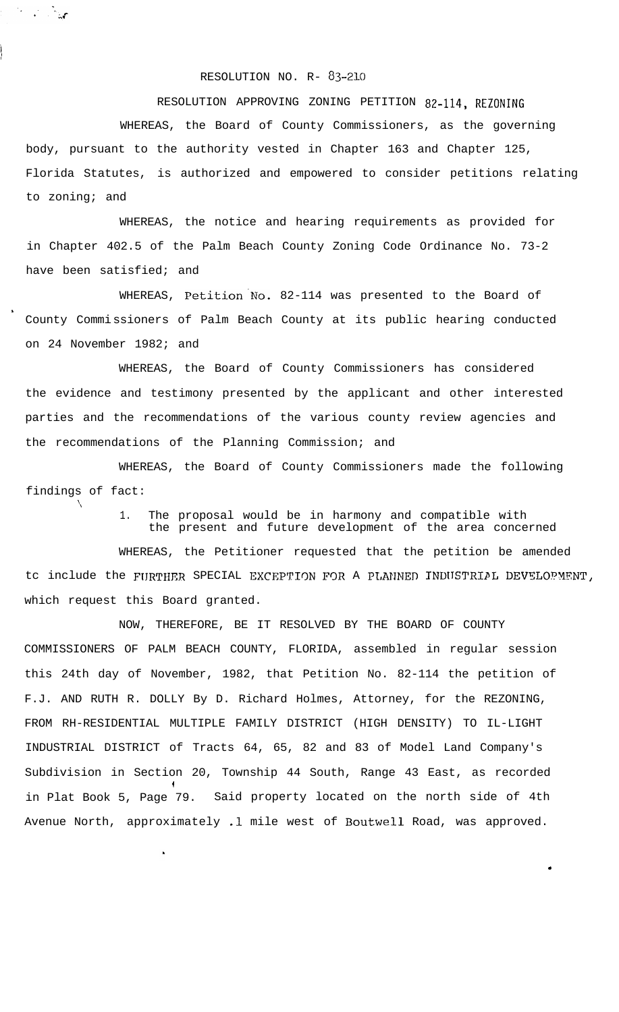## RESOLUTION NO. R- 83-210

RESOLUTION APPROVING ZONING PETITION 82-114, REZONING

WHEREAS, the Board of County Commissioners, as the governing body, pursuant to the authority vested in Chapter 163 and Chapter 125, Florida Statutes, is authorized and empowered to consider petitions relating to zoning; and

WHEREAS, the notice and hearing requirements as provided for in Chapter 402.5 of the Palm Beach County Zoning Code Ordinance No. 73-2 have been satisfied; and

WHEREAS, Petition'No. 82-114 was presented to the Board of County Commissioners of Palm Beach County at its public hearing conducted on 24 November 1982; and

s

'\

WHEREAS, the Board of County Commissioners has considered the evidence and testimony presented by the applicant and other interested parties and the recommendations of the various county review agencies and the recommendations of the Planning Commission; and

WHEREAS, the Board of County Commissioners made the following findings of fact:

> 1. The proposal would be in harmony and compatible with the present and future development of the area concerned

> > .

WHEREAS, the Petitioner requested that the petition be amended tc include the FURTHER SPECIAL EXCEPTION FOR A PLANNED INDUSTRIPL DEVELOPMENT, which request this Board granted.

NOW, THEREFORE, BE IT RESOLVED BY THE BOARD OF COUNTY COMMISSIONERS OF PALM BEACH COUNTY, FLORIDA, assembled in regular session this 24th day of November, 1982, that Petition No. 82-114 the petition of F.J. AND RUTH R. DOLLY By D. Richard Holmes, Attorney, for the REZONING, FROM RH-RESIDENTIAL MULTIPLE FAMILY DISTRICT (HIGH DENSITY) TO IL-LIGHT INDUSTRIAL DISTRICT of Tracts 64, 65, 82 and 83 of Model Land Company's Subdivision in Section 20, Township 44 South, Range 43 East, as recorded I in Plat Book 5, Page 79. Said property located on the north side of 4th Avenue North, approximately .l mile west of Boutwell Road, was approved.